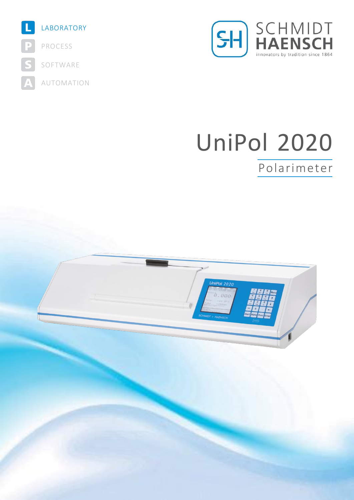



# UniPol 2020

## Polarimeter